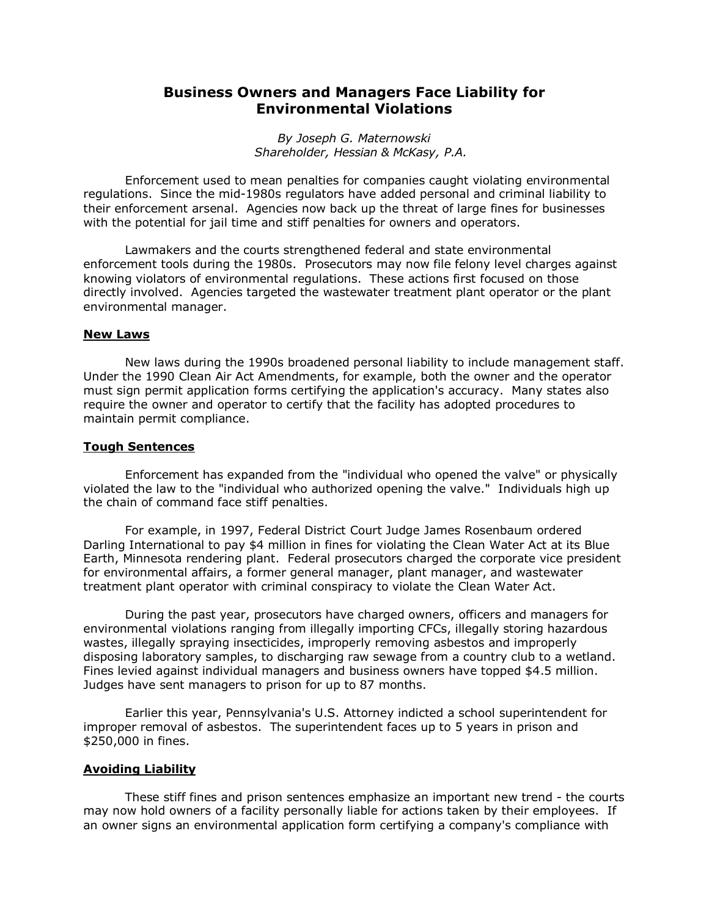## **Business Owners and Managers Face Liability for Environmental Violations**

*By Joseph G. Maternowski Shareholder, Hessian & McKasy, P.A.* 

Enforcement used to mean penalties for companies caught violating environmental regulations. Since the mid-1980s regulators have added personal and criminal liability to their enforcement arsenal. Agencies now back up the threat of large fines for businesses with the potential for jail time and stiff penalties for owners and operators.

Lawmakers and the courts strengthened federal and state environmental enforcement tools during the 1980s. Prosecutors may now file felony level charges against knowing violators of environmental regulations. These actions first focused on those directly involved. Agencies targeted the wastewater treatment plant operator or the plant environmental manager.

## **New Laws**

New laws during the 1990s broadened personal liability to include management staff. Under the 1990 Clean Air Act Amendments, for example, both the owner and the operator must sign permit application forms certifying the application's accuracy. Many states also require the owner and operator to certify that the facility has adopted procedures to maintain permit compliance.

## **Tough Sentences**

Enforcement has expanded from the "individual who opened the valve" or physically violated the law to the "individual who authorized opening the valve." Individuals high up the chain of command face stiff penalties.

For example, in 1997, Federal District Court Judge James Rosenbaum ordered Darling International to pay \$4 million in fines for violating the Clean Water Act at its Blue Earth, Minnesota rendering plant. Federal prosecutors charged the corporate vice president for environmental affairs, a former general manager, plant manager, and wastewater treatment plant operator with criminal conspiracy to violate the Clean Water Act.

During the past year, prosecutors have charged owners, officers and managers for environmental violations ranging from illegally importing CFCs, illegally storing hazardous wastes, illegally spraying insecticides, improperly removing asbestos and improperly disposing laboratory samples, to discharging raw sewage from a country club to a wetland. Fines levied against individual managers and business owners have topped \$4.5 million. Judges have sent managers to prison for up to 87 months.

Earlier this year, Pennsylvania's U.S. Attorney indicted a school superintendent for improper removal of asbestos. The superintendent faces up to 5 years in prison and \$250,000 in fines.

## **Avoiding Liability**

These stiff fines and prison sentences emphasize an important new trend - the courts may now hold owners of a facility personally liable for actions taken by their employees. If an owner signs an environmental application form certifying a company's compliance with